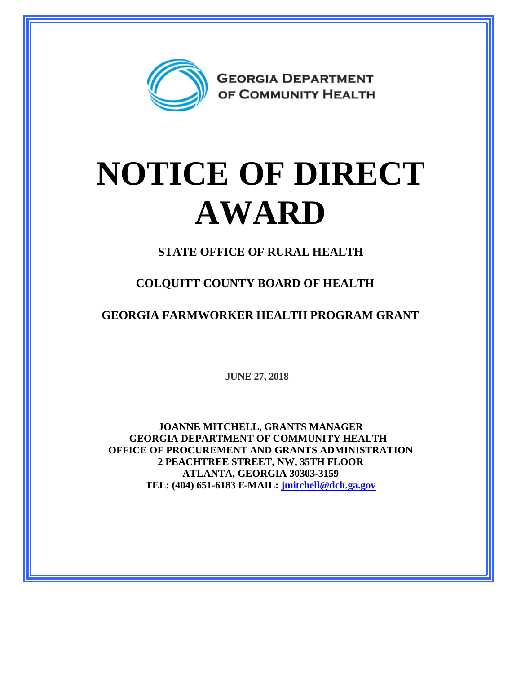

## **NOTICE OF DIRECT AWARD**

**STATE OFFICE OF RURAL HEALTH**

**COLQUITT COUNTY BOARD OF HEALTH**

**GEORGIA FARMWORKER HEALTH PROGRAM GRANT**

**JUNE 27, 2018**

**JOANNE MITCHELL, GRANTS MANAGER GEORGIA DEPARTMENT OF COMMUNITY HEALTH OFFICE OF PROCUREMENT AND GRANTS ADMINISTRATION 2 PEACHTREE STREET, NW, 35TH FLOOR ATLANTA, GEORGIA 30303-3159 TEL: (404) 651-6183 E-MAIL: [jmitchell@dch.ga.gov](mailto:jmitchell@dch.ga.gov)**